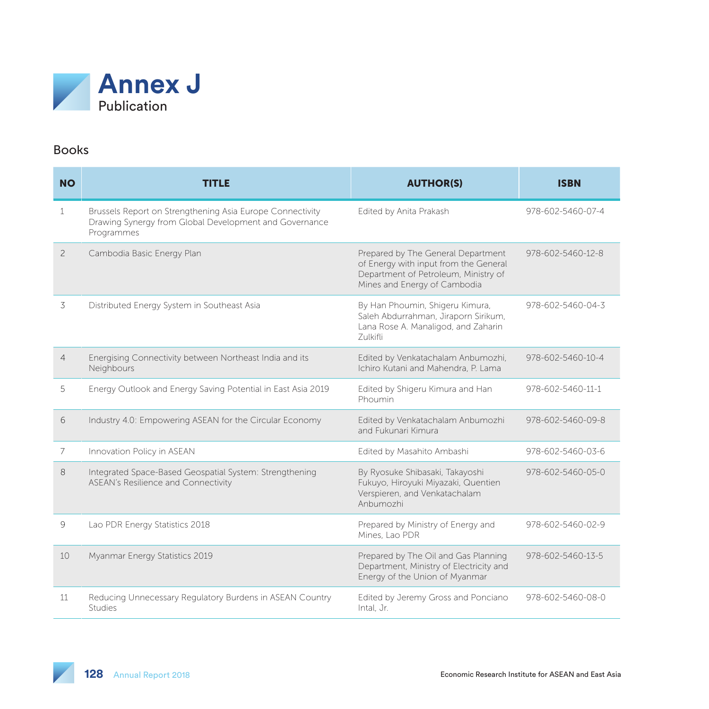

#### Books

| <b>NO</b>                | <b>TITLE</b>                                                                                                                      | <b>AUTHOR(S)</b>                                                                                                                                    | <b>ISBN</b>       |
|--------------------------|-----------------------------------------------------------------------------------------------------------------------------------|-----------------------------------------------------------------------------------------------------------------------------------------------------|-------------------|
| 1                        | Brussels Report on Strengthening Asia Europe Connectivity<br>Drawing Synergy from Global Development and Governance<br>Programmes | Edited by Anita Prakash                                                                                                                             | 978-602-5460-07-4 |
| $\overline{\phantom{0}}$ | Cambodia Basic Energy Plan                                                                                                        | Prepared by The General Department<br>of Energy with input from the General<br>Department of Petroleum, Ministry of<br>Mines and Energy of Cambodia | 978-602-5460-12-8 |
| 3                        | Distributed Energy System in Southeast Asia                                                                                       | By Han Phoumin, Shigeru Kimura,<br>Saleh Abdurrahman, Jiraporn Sirikum,<br>Lana Rose A. Manaligod, and Zaharin<br><b>Zulkifli</b>                   | 978-602-5460-04-3 |
| $\overline{4}$           | Energising Connectivity between Northeast India and its<br>Neighbours                                                             | Edited by Venkatachalam Anbumozhi,<br>Ichiro Kutani and Mahendra, P. Lama                                                                           | 978-602-5460-10-4 |
| 5                        | Energy Outlook and Energy Saving Potential in East Asia 2019                                                                      | Edited by Shigeru Kimura and Han<br>Phoumin                                                                                                         | 978-602-5460-11-1 |
| 6                        | Industry 4.0: Empowering ASEAN for the Circular Economy                                                                           | Edited by Venkatachalam Anbumozhi<br>and Fukunari Kimura                                                                                            | 978-602-5460-09-8 |
| 7                        | Innovation Policy in ASEAN                                                                                                        | Edited by Masahito Ambashi                                                                                                                          | 978-602-5460-03-6 |
| 8                        | Integrated Space-Based Geospatial System: Strengthening<br><b>ASEAN's Resilience and Connectivity</b>                             | By Ryosuke Shibasaki, Takayoshi<br>Fukuyo, Hiroyuki Miyazaki, Quentien<br>Verspieren, and Venkatachalam<br>Anbumozhi                                | 978-602-5460-05-0 |
| 9                        | Lao PDR Energy Statistics 2018                                                                                                    | Prepared by Ministry of Energy and<br>Mines, Lao PDR                                                                                                | 978-602-5460-02-9 |
| 10                       | Myanmar Energy Statistics 2019                                                                                                    | Prepared by The Oil and Gas Planning<br>Department, Ministry of Electricity and<br>Energy of the Union of Myanmar                                   | 978-602-5460-13-5 |
| 11                       | Reducing Unnecessary Regulatory Burdens in ASEAN Country<br>Studies                                                               | Edited by Jeremy Gross and Ponciano<br>Intal, Jr.                                                                                                   | 978-602-5460-08-0 |

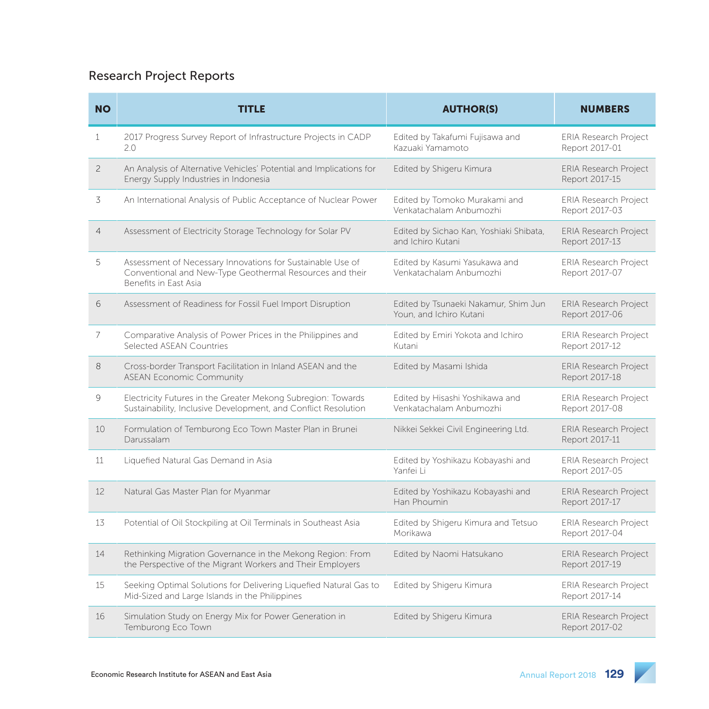# Research Project Reports

| <b>NO</b>      | <b>TITLE</b>                                                                                                                                    | <b>AUTHOR(S)</b>                                                | <b>NUMBERS</b>                                 |
|----------------|-------------------------------------------------------------------------------------------------------------------------------------------------|-----------------------------------------------------------------|------------------------------------------------|
| 1              | 2017 Progress Survey Report of Infrastructure Projects in CADP<br>2.0                                                                           | Edited by Takafumi Fujisawa and<br>Kazuaki Yamamoto             | <b>ERIA Research Project</b><br>Report 2017-01 |
| $\overline{c}$ | An Analysis of Alternative Vehicles' Potential and Implications for<br>Energy Supply Industries in Indonesia                                    | Edited by Shigeru Kimura                                        | <b>ERIA Research Project</b><br>Report 2017-15 |
| 3              | An International Analysis of Public Acceptance of Nuclear Power                                                                                 | Edited by Tomoko Murakami and<br>Venkatachalam Anbumozhi        | <b>ERIA Research Project</b><br>Report 2017-03 |
| $\overline{4}$ | Assessment of Electricity Storage Technology for Solar PV                                                                                       | Edited by Sichao Kan, Yoshiaki Shibata,<br>and Ichiro Kutani    | <b>ERIA Research Project</b><br>Report 2017-13 |
| 5              | Assessment of Necessary Innovations for Sustainable Use of<br>Conventional and New-Type Geothermal Resources and their<br>Benefits in East Asia | Edited by Kasumi Yasukawa and<br>Venkatachalam Anbumozhi        | <b>ERIA Research Project</b><br>Report 2017-07 |
| 6              | Assessment of Readiness for Fossil Fuel Import Disruption                                                                                       | Edited by Tsunaeki Nakamur, Shim Jun<br>Youn, and Ichiro Kutani | <b>ERIA Research Project</b><br>Report 2017-06 |
| 7              | Comparative Analysis of Power Prices in the Philippines and<br>Selected ASEAN Countries                                                         | Edited by Emiri Yokota and Ichiro<br>Kutani                     | ERIA Research Project<br>Report 2017-12        |
| 8              | Cross-border Transport Facilitation in Inland ASEAN and the<br><b>ASEAN Economic Community</b>                                                  | Edited by Masami Ishida                                         | <b>ERIA Research Project</b><br>Report 2017-18 |
| 9              | Electricity Futures in the Greater Mekong Subregion: Towards<br>Sustainability, Inclusive Development, and Conflict Resolution                  | Edited by Hisashi Yoshikawa and<br>Venkatachalam Anbumozhi      | <b>ERIA Research Project</b><br>Report 2017-08 |
| 10             | Formulation of Temburong Eco Town Master Plan in Brunei<br>Darussalam                                                                           | Nikkei Sekkei Civil Engineering Ltd.                            | <b>ERIA Research Project</b><br>Report 2017-11 |
| 11             | Liquefied Natural Gas Demand in Asia                                                                                                            | Edited by Yoshikazu Kobayashi and<br>Yanfei Li                  | <b>ERIA Research Project</b><br>Report 2017-05 |
| 12             | Natural Gas Master Plan for Myanmar                                                                                                             | Edited by Yoshikazu Kobayashi and<br>Han Phoumin                | <b>ERIA Research Project</b><br>Report 2017-17 |
| 13             | Potential of Oil Stockpiling at Oil Terminals in Southeast Asia                                                                                 | Edited by Shigeru Kimura and Tetsuo<br>Morikawa                 | <b>ERIA Research Project</b><br>Report 2017-04 |
| 14             | Rethinking Migration Governance in the Mekong Region: From<br>the Perspective of the Migrant Workers and Their Employers                        | Edited by Naomi Hatsukano                                       | ERIA Research Project<br>Report 2017-19        |
| 15             | Seeking Optimal Solutions for Delivering Liquefied Natural Gas to<br>Mid-Sized and Large Islands in the Philippines                             | Edited by Shigeru Kimura                                        | <b>ERIA Research Project</b><br>Report 2017-14 |
| 16             | Simulation Study on Energy Mix for Power Generation in<br>Temburong Eco Town                                                                    | Edited by Shigeru Kimura                                        | <b>ERIA Research Project</b><br>Report 2017-02 |

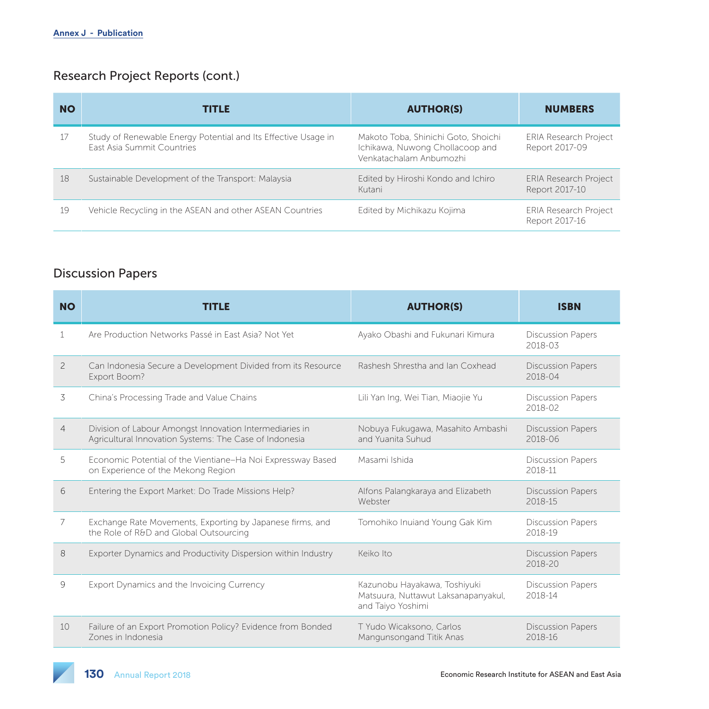# Research Project Reports (cont.)

| <b>NO</b> | <b>TITLE</b>                                                                                        | <b>AUTHOR(S)</b>                                                                                  | <b>NUMBERS</b>                                 |
|-----------|-----------------------------------------------------------------------------------------------------|---------------------------------------------------------------------------------------------------|------------------------------------------------|
| -17       | Study of Renewable Energy Potential and Its Effective Usage in<br><b>Fast Asia Summit Countries</b> | Makoto Toba, Shinichi Goto, Shoichi<br>Ichikawa, Nuwong Chollacoop and<br>Venkatachalam Anbumozhi | <b>ERIA Research Project</b><br>Report 2017-09 |
| 18        | Sustainable Development of the Transport: Malaysia                                                  | Edited by Hiroshi Kondo and Ichiro<br>Kutani                                                      | <b>ERIA Research Project</b><br>Report 2017-10 |
| 19        | Vehicle Recycling in the ASEAN and other ASEAN Countries                                            | Edited by Michikazu Kojima                                                                        | <b>ERIA Research Project</b><br>Report 2017-16 |

### Discussion Papers

| <b>NO</b>      | <b>TITLE</b>                                                                                                      | <b>AUTHOR(S)</b>                                                                         | <b>ISBN</b>                         |
|----------------|-------------------------------------------------------------------------------------------------------------------|------------------------------------------------------------------------------------------|-------------------------------------|
| 1              | Are Production Networks Passé in East Asia? Not Yet                                                               | Ayako Obashi and Fukunari Kimura                                                         | <b>Discussion Papers</b><br>2018-03 |
| $\mathcal{P}$  | Can Indonesia Secure a Development Divided from its Resource<br>Export Boom?                                      | Rashesh Shrestha and Jan Coxhead                                                         | <b>Discussion Papers</b><br>2018-04 |
| 3              | China's Processing Trade and Value Chains                                                                         | Lili Yan Ing, Wei Tian, Miaojie Yu                                                       | <b>Discussion Papers</b><br>2018-02 |
| $\overline{4}$ | Division of Labour Amongst Innovation Intermediaries in<br>Agricultural Innovation Systems: The Case of Indonesia | Nobuya Fukugawa, Masahito Ambashi<br>and Yuanita Suhud                                   | <b>Discussion Papers</b><br>2018-06 |
| 5              | Economic Potential of the Vientiane-Ha Noi Expressway Based<br>on Experience of the Mekong Region                 | Masami Ishida                                                                            | <b>Discussion Papers</b><br>2018-11 |
| 6              | Entering the Export Market: Do Trade Missions Help?                                                               | Alfons Palangkaraya and Elizabeth<br>Webster                                             | <b>Discussion Papers</b><br>2018-15 |
| 7              | Exchange Rate Movements, Exporting by Japanese firms, and<br>the Role of R&D and Global Outsourcing               | Tomohiko Inuiand Young Gak Kim                                                           | <b>Discussion Papers</b><br>2018-19 |
| 8              | Exporter Dynamics and Productivity Dispersion within Industry                                                     | Keiko Ito                                                                                | <b>Discussion Papers</b><br>2018-20 |
| 9              | Export Dynamics and the Invoicing Currency                                                                        | Kazunobu Hayakawa, Toshiyuki<br>Matsuura, Nuttawut Laksanapanyakul,<br>and Taiyo Yoshimi | <b>Discussion Papers</b><br>2018-14 |
| 10             | Failure of an Export Promotion Policy? Evidence from Bonded<br>Zones in Indonesia                                 | T Yudo Wicaksono, Carlos<br>Mangunsongand Titik Anas                                     | <b>Discussion Papers</b><br>2018-16 |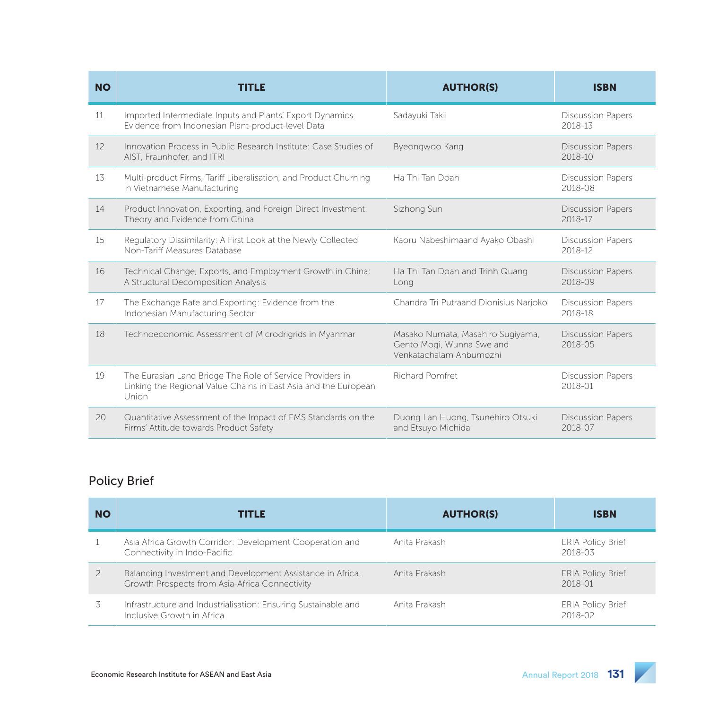| <b>NO</b> | TITLE                                                                                                                                 | <b>AUTHOR(S)</b>                                                                          | <b>ISBN</b>                             |
|-----------|---------------------------------------------------------------------------------------------------------------------------------------|-------------------------------------------------------------------------------------------|-----------------------------------------|
| 11        | Imported Intermediate Inputs and Plants' Export Dynamics<br>Evidence from Indonesian Plant-product-level Data                         | Sadayuki Takii                                                                            | <b>Discussion Papers</b><br>2018-13     |
| 12        | Innovation Process in Public Research Institute: Case Studies of<br>AIST, Fraunhofer, and ITRI                                        | Byeongwoo Kang                                                                            | <b>Discussion Papers</b><br>$2018 - 10$ |
| 13        | Multi-product Firms, Tariff Liberalisation, and Product Churning<br>in Vietnamese Manufacturing                                       | Ha Thi Tan Doan                                                                           | <b>Discussion Papers</b><br>2018-08     |
| 14        | Product Innovation, Exporting, and Foreign Direct Investment:<br>Theory and Evidence from China                                       | Sizhong Sun                                                                               | <b>Discussion Papers</b><br>2018-17     |
| 15        | Regulatory Dissimilarity: A First Look at the Newly Collected<br>Non-Tariff Measures Database                                         | Kaoru Nabeshimaand Ayako Obashi                                                           | <b>Discussion Papers</b><br>2018-12     |
| 16        | Technical Change, Exports, and Employment Growth in China:<br>A Structural Decomposition Analysis                                     | Ha Thi Tan Doan and Trinh Quang<br>Long                                                   | <b>Discussion Papers</b><br>2018-09     |
| 17        | The Exchange Rate and Exporting: Evidence from the<br>Indonesian Manufacturing Sector                                                 | Chandra Tri Putraand Dionisius Narjoko                                                    | <b>Discussion Papers</b><br>2018-18     |
| 18        | Technoeconomic Assessment of Microdrigrids in Myanmar                                                                                 | Masako Numata, Masahiro Sugiyama,<br>Gento Mogi, Wunna Swe and<br>Venkatachalam Anbumozhi | <b>Discussion Papers</b><br>2018-05     |
| 19        | The Eurasian Land Bridge The Role of Service Providers in<br>Linking the Regional Value Chains in East Asia and the European<br>Union | <b>Richard Pomfret</b>                                                                    | <b>Discussion Papers</b><br>2018-01     |
| 20        | Quantitative Assessment of the Impact of EMS Standards on the<br>Firms' Attitude towards Product Safety                               | Duong Lan Huong, Tsunehiro Otsuki<br>and Etsuyo Michida                                   | <b>Discussion Papers</b><br>2018-07     |

### Policy Brief

| <b>NO</b> | <b>TITLE</b>                                                                                                 | <b>AUTHOR(S)</b> | <b>ISBN</b>                             |
|-----------|--------------------------------------------------------------------------------------------------------------|------------------|-----------------------------------------|
|           | Asia Africa Growth Corridor: Development Cooperation and<br>Connectivity in Indo-Pacific                     | Anita Prakash    | <b>ERIA Policy Brief</b><br>2018-03     |
|           | Balancing Investment and Development Assistance in Africa:<br>Growth Prospects from Asia-Africa Connectivity | Anita Prakash    | <b>ERIA Policy Brief</b><br>$2018 - 01$ |
|           | Infrastructure and Industrialisation: Ensuring Sustainable and<br>Inclusive Growth in Africa                 | Anita Prakash    | <b>ERIA Policy Brief</b><br>2018-02     |

 $\overline{\phantom{a}}$